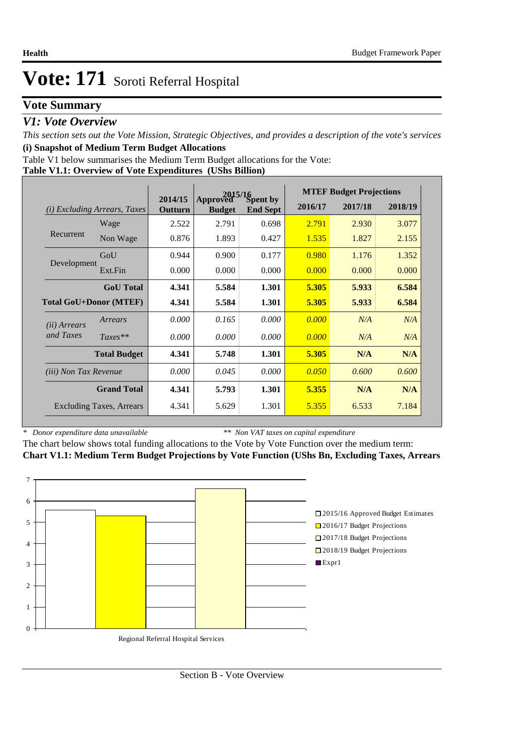## **Vote Summary**

### *V1: Vote Overview*

*This section sets out the Vote Mission, Strategic Objectives, and provides a description of the vote's services* **(i) Snapshot of Medium Term Budget Allocations** 

Table V1 below summarises the Medium Term Budget allocations for the Vote:

**Table V1.1: Overview of Vote Expenditures (UShs Billion)**

|                              |                                 | $2015/16$<br>ved Spent by |                           |                 | <b>MTEF Budget Projections</b> |         |         |
|------------------------------|---------------------------------|---------------------------|---------------------------|-----------------|--------------------------------|---------|---------|
| (i)                          | <b>Excluding Arrears, Taxes</b> | 2014/15<br>Outturn        | Approved<br><b>Budget</b> | <b>End Sept</b> | 2016/17                        | 2017/18 | 2018/19 |
|                              | Wage                            | 2.522                     | 2.791                     | 0.698           | 2.791                          | 2.930   | 3.077   |
| Recurrent                    | Non Wage                        | 0.876                     | 1.893                     | 0.427           | 1.535                          | 1.827   | 2.155   |
|                              | GoU                             | 0.944                     | 0.900                     | 0.177           | 0.980                          | 1.176   | 1.352   |
| Development                  | Ext.Fin                         | 0.000                     | 0.000                     | 0.000           | 0.000                          | 0.000   | 0.000   |
|                              | <b>GoU</b> Total                | 4.341                     | 5.584                     | 1.301           | 5.305                          | 5.933   | 6.584   |
|                              | <b>Total GoU+Donor (MTEF)</b>   |                           | 5.584                     | 1.301           | 5.305                          | 5.933   | 6.584   |
| ( <i>ii</i> ) Arrears        | Arrears                         | 0.000                     | 0.165                     | 0.000           | 0.000                          | N/A     | N/A     |
| and Taxes                    | $Taxes**$                       | 0.000                     | 0.000                     | 0.000           | 0.000                          | N/A     | N/A     |
|                              | <b>Total Budget</b>             | 4.341                     | 5.748                     | 1.301           | 5.305                          | N/A     | N/A     |
| <i>(iii)</i> Non Tax Revenue |                                 | 0.000                     | 0.045                     | 0.000           | 0.050                          | 0.600   | 0.600   |
|                              | <b>Grand Total</b>              | 4.341                     | 5.793                     | 1.301           | 5.355                          | N/A     | N/A     |
|                              | <b>Excluding Taxes, Arrears</b> | 4.341                     | 5.629                     | 1.301           | 5.355                          | 6.533   | 7.184   |

*\* Donor expenditure data unavailable*

*\*\* Non VAT taxes on capital expenditure*

The chart below shows total funding allocations to the Vote by Vote Function over the medium term: **Chart V1.1: Medium Term Budget Projections by Vote Function (UShs Bn, Excluding Taxes, Arrears**

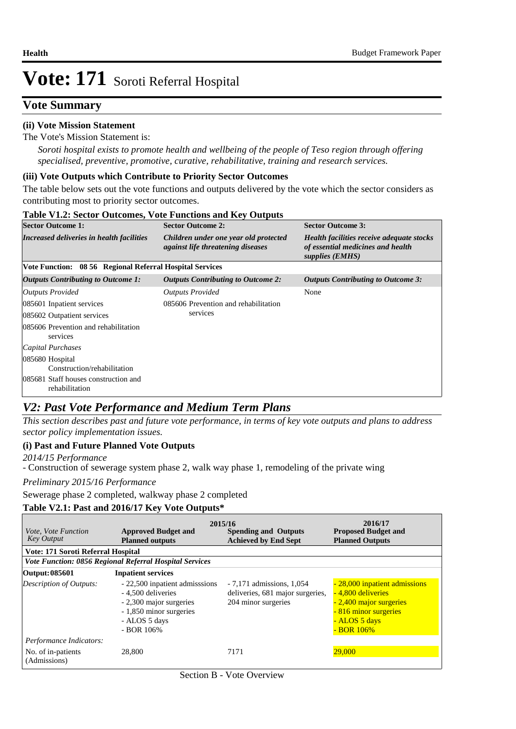## **Vote Summary**

#### **(ii) Vote Mission Statement**

#### The Vote's Mission Statement is:

*Soroti hospital exists to promote health and wellbeing of the people of Teso region through offering specialised, preventive, promotive, curative, rehabilitative, training and research services.*

#### **(iii) Vote Outputs which Contribute to Priority Sector Outcomes**

The table below sets out the vote functions and outputs delivered by the vote which the sector considers as contributing most to priority sector outcomes.

| <b>Table V1.2: Sector Outcomes, Vote Functions and Key Outputs</b> |                                                                                   |                                                                                                   |  |  |  |  |
|--------------------------------------------------------------------|-----------------------------------------------------------------------------------|---------------------------------------------------------------------------------------------------|--|--|--|--|
| <b>Sector Outcome 1:</b>                                           | <b>Sector Outcome 2:</b>                                                          | <b>Sector Outcome 3:</b>                                                                          |  |  |  |  |
| Increased deliveries in health facilities                          | Children under one year old protected<br><i>against life threatening diseases</i> | Health facilities receive adequate stocks<br>of essential medicines and health<br>supplies (EMHS) |  |  |  |  |
| Vote Function: 08 56 Regional Referral Hospital Services           |                                                                                   |                                                                                                   |  |  |  |  |
| Outputs Contributing to Outcome 1:                                 | <b>Outputs Contributing to Outcome 2:</b>                                         | <b>Outputs Contributing to Outcome 3:</b>                                                         |  |  |  |  |
| Outputs Provided                                                   | <b>Outputs Provided</b>                                                           | None                                                                                              |  |  |  |  |
| 085601 Inpatient services                                          | 085606 Prevention and rehabilitation                                              |                                                                                                   |  |  |  |  |
| 085602 Outpatient services                                         | services                                                                          |                                                                                                   |  |  |  |  |
| 085606 Prevention and rehabilitation<br>services                   |                                                                                   |                                                                                                   |  |  |  |  |
| Capital Purchases                                                  |                                                                                   |                                                                                                   |  |  |  |  |
| 085680 Hospital<br>Construction/rehabilitation                     |                                                                                   |                                                                                                   |  |  |  |  |
| 085681 Staff houses construction and<br>rehabilitation             |                                                                                   |                                                                                                   |  |  |  |  |

## *V2: Past Vote Performance and Medium Term Plans*

*This section describes past and future vote performance, in terms of key vote outputs and plans to address sector policy implementation issues.* 

#### **(i) Past and Future Planned Vote Outputs**

- Construction of sewerage system phase 2, walk way phase 1, remodeling of the private wing *2014/15 Performance*

*Preliminary 2015/16 Performance*

Sewerage phase 2 completed, walkway phase 2 completed

### **Table V2.1: Past and 2016/17 Key Vote Outputs\***

| <i>Vote, Vote Function</i><br><b>Key Output</b>               | <b>Approved Budget and</b><br><b>Planned outputs</b>                                                                                        | 2015/16<br><b>Spending and Outputs</b><br><b>Achieved by End Sept</b>                 | 2016/17<br><b>Proposed Budget and</b><br><b>Planned Outputs</b>                                                                             |
|---------------------------------------------------------------|---------------------------------------------------------------------------------------------------------------------------------------------|---------------------------------------------------------------------------------------|---------------------------------------------------------------------------------------------------------------------------------------------|
| Vote: 171 Soroti Referral Hospital                            |                                                                                                                                             |                                                                                       |                                                                                                                                             |
|                                                               | <b>Vote Function: 0856 Regional Referral Hospital Services</b>                                                                              |                                                                                       |                                                                                                                                             |
| Output: 085601                                                | <b>Inpatient services</b>                                                                                                                   |                                                                                       |                                                                                                                                             |
| Description of Outputs:                                       | - 22,500 inpatient admisssions<br>- 4.500 deliveries<br>- 2,300 major surgeries<br>- 1,850 minor surgeries<br>- ALOS 5 days<br>$-$ BOR 106% | $-7,171$ admissions, 1,054<br>deliveries, 681 major surgeries.<br>204 minor surgeries | - 28,000 inpatient admissions<br>- 4,800 deliveries<br>- 2,400 major surgeries<br>- 816 minor surgeries<br>- ALOS 5 days<br>$-$ BOR $106\%$ |
| Performance Indicators:<br>No. of in-patients<br>(Admissions) | 28,800                                                                                                                                      | 7171                                                                                  | 29,000                                                                                                                                      |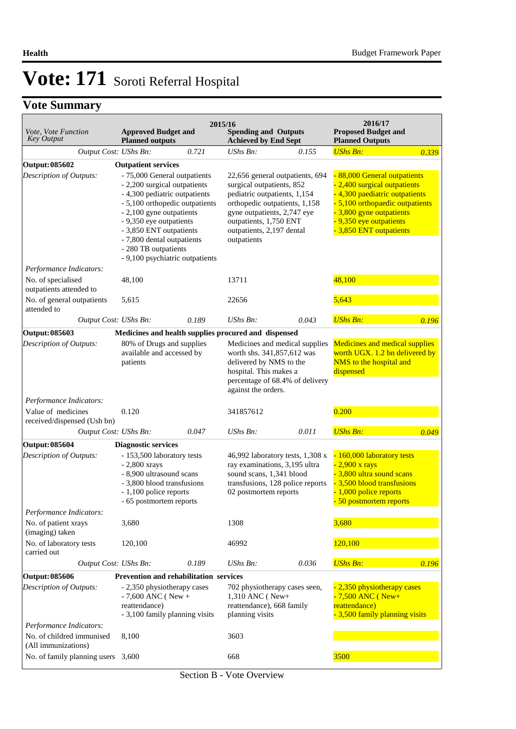# **Vote Summary**

| Vote, Vote Function<br><b>Key Output</b>          | <b>Approved Budget and</b><br><b>Planned outputs</b>                                                                                                                                                                                                                                                       |       | 2015/16<br><b>Spending and Outputs</b><br><b>Achieved by End Sept</b>                                                                                                                           |                                                                      | 2016/17<br><b>Proposed Budget and</b><br><b>Planned Outputs</b>                                                                                                                                                   |       |
|---------------------------------------------------|------------------------------------------------------------------------------------------------------------------------------------------------------------------------------------------------------------------------------------------------------------------------------------------------------------|-------|-------------------------------------------------------------------------------------------------------------------------------------------------------------------------------------------------|----------------------------------------------------------------------|-------------------------------------------------------------------------------------------------------------------------------------------------------------------------------------------------------------------|-------|
| Output Cost: UShs Bn:                             |                                                                                                                                                                                                                                                                                                            | 0.721 | UShs Bn:                                                                                                                                                                                        | 0.155                                                                | <b>UShs Bn:</b>                                                                                                                                                                                                   | 0.339 |
| <b>Output: 085602</b>                             | <b>Outpatient services</b>                                                                                                                                                                                                                                                                                 |       |                                                                                                                                                                                                 |                                                                      |                                                                                                                                                                                                                   |       |
| Description of Outputs:                           | - 75,000 General outpatients<br>- 2,200 surgical outpatients<br>- 4,300 pediatric outpatients<br>- 5,100 orthopedic outpatients<br>- 2,100 gyne outpatients<br>- 9,350 eye outpatients<br>- 3,850 ENT outpatients<br>- 7,800 dental outpatients<br>- 280 TB outpatients<br>- 9,100 psychiatric outpatients |       | surgical outpatients, 852<br>pediatric outpatients, 1,154<br>orthopedic outpatients, 1,158<br>gyne outpatients, 2,747 eye<br>outpatients, 1,750 ENT<br>outpatients, 2,197 dental<br>outpatients | 22,656 general outpatients, 694                                      | 88,000 General outpatients<br>- 2,400 surgical outpatients<br>- 4,300 paediatric outpatients<br>- 5,100 orthopaedic outpatients<br>- 3,800 gyne outpatients<br>- 9,350 eye outpatients<br>- 3,850 ENT outpatients |       |
| Performance Indicators:                           |                                                                                                                                                                                                                                                                                                            |       |                                                                                                                                                                                                 |                                                                      |                                                                                                                                                                                                                   |       |
| No. of specialised<br>outpatients attended to     | 48,100                                                                                                                                                                                                                                                                                                     |       | 13711                                                                                                                                                                                           |                                                                      | 48,100                                                                                                                                                                                                            |       |
| No. of general outpatients<br>attended to         | 5,615                                                                                                                                                                                                                                                                                                      |       | 22656                                                                                                                                                                                           |                                                                      | 5,643                                                                                                                                                                                                             |       |
| Output Cost: UShs Bn:                             |                                                                                                                                                                                                                                                                                                            | 0.189 | $UShs Bn$ :                                                                                                                                                                                     | 0.043                                                                | <b>UShs Bn:</b>                                                                                                                                                                                                   | 0.196 |
| Output: 085603                                    | Medicines and health supplies procured and dispensed                                                                                                                                                                                                                                                       |       |                                                                                                                                                                                                 |                                                                      |                                                                                                                                                                                                                   |       |
| Description of Outputs:                           | 80% of Drugs and supplies<br>available and accessed by<br>patients                                                                                                                                                                                                                                         |       | worth shs. 341,857,612 was<br>delivered by NMS to the<br>hospital. This makes a<br>against the orders.                                                                                          | Medicines and medical supplies<br>percentage of 68.4% of delivery    | <b>Medicines and medical supplies</b><br>worth UGX. 1.2 bn delivered by<br>NMS to the hospital and<br>dispensed                                                                                                   |       |
| Performance Indicators:                           |                                                                                                                                                                                                                                                                                                            |       |                                                                                                                                                                                                 |                                                                      |                                                                                                                                                                                                                   |       |
| Value of medicines<br>received/dispensed (Ush bn) | 0.120                                                                                                                                                                                                                                                                                                      |       | 341857612                                                                                                                                                                                       |                                                                      | 0.200                                                                                                                                                                                                             |       |
| Output Cost: UShs Bn:                             |                                                                                                                                                                                                                                                                                                            | 0.047 | UShs Bn:                                                                                                                                                                                        | 0.011                                                                | <b>UShs Bn:</b>                                                                                                                                                                                                   | 0.049 |
| <b>Output: 085604</b>                             | <b>Diagnostic services</b>                                                                                                                                                                                                                                                                                 |       |                                                                                                                                                                                                 |                                                                      |                                                                                                                                                                                                                   |       |
| Description of Outputs:                           | - 153,500 laboratory tests<br>$-2,800$ xrays<br>- 8,900 ultrasound scans<br>- 3,800 blood transfusions<br>- 1,100 police reports<br>- 65 postmortem reports                                                                                                                                                |       | ray examinations, 3,195 ultra<br>sound scans, 1,341 blood<br>02 postmortem reports                                                                                                              | 46,992 laboratory tests, 1,308 x<br>transfusions, 128 police reports | - 160,000 laboratory tests<br>- 2,900 x rays<br>- 3,800 ultra sound scans<br>- 3,500 blood transfusions<br>- 1,000 police reports<br>- 50 postmortem reports                                                      |       |
| Performance Indicators:                           |                                                                                                                                                                                                                                                                                                            |       |                                                                                                                                                                                                 |                                                                      |                                                                                                                                                                                                                   |       |
| No. of patient xrays<br>(imaging) taken           | 3,680                                                                                                                                                                                                                                                                                                      |       | 1308                                                                                                                                                                                            |                                                                      | 3,680                                                                                                                                                                                                             |       |
| No. of laboratory tests<br>carried out            | 120,100                                                                                                                                                                                                                                                                                                    |       | 46992                                                                                                                                                                                           |                                                                      | 120,100                                                                                                                                                                                                           |       |
| Output Cost: UShs Bn:                             |                                                                                                                                                                                                                                                                                                            | 0.189 | UShs Bn:                                                                                                                                                                                        | 0.036                                                                | <b>UShs Bn:</b>                                                                                                                                                                                                   | 0.196 |
| <b>Output: 085606</b>                             | Prevention and rehabilitation services                                                                                                                                                                                                                                                                     |       |                                                                                                                                                                                                 |                                                                      |                                                                                                                                                                                                                   |       |
| Description of Outputs:                           | - 2,350 physiotherapy cases<br>$-7,600$ ANC (New +<br>reattendance)<br>- 3,100 family planning visits                                                                                                                                                                                                      |       | 702 physiotherapy cases seen,<br>1,310 ANC (New+<br>reattendance), 668 family<br>planning visits                                                                                                |                                                                      | - 2,350 physiotherapy cases<br>$-7,500$ ANC (New+<br>reattendance)<br>- 3,500 family planning visits                                                                                                              |       |
| Performance Indicators:                           |                                                                                                                                                                                                                                                                                                            |       |                                                                                                                                                                                                 |                                                                      |                                                                                                                                                                                                                   |       |
| No. of childred immunised<br>(All immunizations)  | 8,100                                                                                                                                                                                                                                                                                                      |       | 3603                                                                                                                                                                                            |                                                                      |                                                                                                                                                                                                                   |       |
| No. of family planning users 3,600                |                                                                                                                                                                                                                                                                                                            |       | 668                                                                                                                                                                                             |                                                                      | 3500                                                                                                                                                                                                              |       |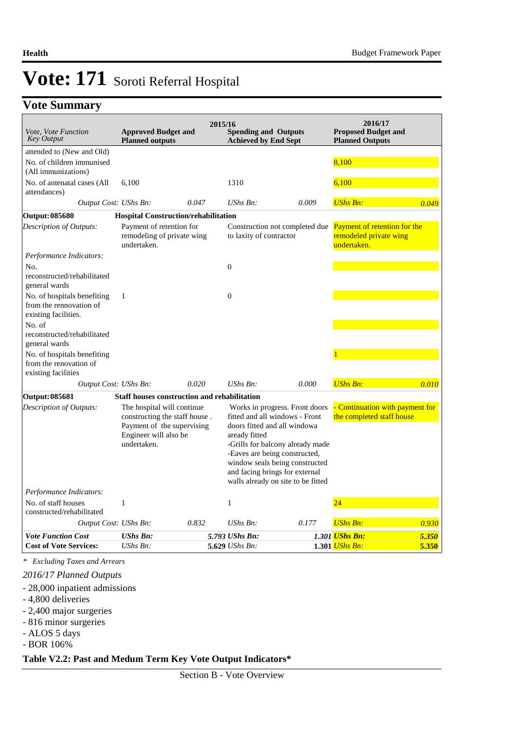## **Vote Summary**

|                                                                                |                                                                                                                                   | 2015/16 |                                                                                                                                                                                                                                                                                                  |       | 2016/17                                                                                              |       |
|--------------------------------------------------------------------------------|-----------------------------------------------------------------------------------------------------------------------------------|---------|--------------------------------------------------------------------------------------------------------------------------------------------------------------------------------------------------------------------------------------------------------------------------------------------------|-------|------------------------------------------------------------------------------------------------------|-------|
| Vote, Vote Function<br><b>Key Output</b>                                       | <b>Approved Budget and</b><br><b>Planned outputs</b>                                                                              |         | <b>Spending and Outputs</b><br><b>Achieved by End Sept</b>                                                                                                                                                                                                                                       |       | <b>Proposed Budget and</b><br><b>Planned Outputs</b>                                                 |       |
| attended to (New and Old)                                                      |                                                                                                                                   |         |                                                                                                                                                                                                                                                                                                  |       |                                                                                                      |       |
| No. of children immunised<br>(All immunizations)                               |                                                                                                                                   |         |                                                                                                                                                                                                                                                                                                  |       | 8,100                                                                                                |       |
| No. of antenatal cases (All<br>attendances)                                    | 6.100                                                                                                                             |         | 1310                                                                                                                                                                                                                                                                                             |       | 6.100                                                                                                |       |
| Output Cost: UShs Bn:                                                          |                                                                                                                                   | 0.047   | $UShs Bn$ :                                                                                                                                                                                                                                                                                      | 0.009 | <b>UShs Bn:</b>                                                                                      | 0.049 |
| <b>Output: 085680</b>                                                          | <b>Hospital Construction/rehabilitation</b>                                                                                       |         |                                                                                                                                                                                                                                                                                                  |       |                                                                                                      |       |
| Description of Outputs:                                                        | Payment of retention for<br>remodeling of private wing<br>undertaken.                                                             |         | to laxity of contractor                                                                                                                                                                                                                                                                          |       | Construction not completed due Payment of retention for the<br>remodeled private wing<br>undertaken. |       |
| Performance Indicators:                                                        |                                                                                                                                   |         |                                                                                                                                                                                                                                                                                                  |       |                                                                                                      |       |
| No.                                                                            |                                                                                                                                   |         | $\boldsymbol{0}$                                                                                                                                                                                                                                                                                 |       |                                                                                                      |       |
| reconstructed/rehabilitated<br>general wards                                   |                                                                                                                                   |         |                                                                                                                                                                                                                                                                                                  |       |                                                                                                      |       |
| No. of hospitals benefiting<br>from the rennovation of<br>existing facilities. | $\mathbf{1}$                                                                                                                      |         | $\overline{0}$                                                                                                                                                                                                                                                                                   |       |                                                                                                      |       |
| No. of                                                                         |                                                                                                                                   |         |                                                                                                                                                                                                                                                                                                  |       |                                                                                                      |       |
| reconstructed/rehabilitated<br>general wards                                   |                                                                                                                                   |         |                                                                                                                                                                                                                                                                                                  |       |                                                                                                      |       |
| No. of hospitals benefiting<br>from the renovation of<br>existing facilities   |                                                                                                                                   |         |                                                                                                                                                                                                                                                                                                  |       |                                                                                                      |       |
| Output Cost: UShs Bn:                                                          |                                                                                                                                   | 0.020   | $UShs Bn$ :                                                                                                                                                                                                                                                                                      | 0.000 | <b>UShs Bn:</b>                                                                                      | 0.010 |
| <b>Output: 085681</b>                                                          | <b>Staff houses construction and rehabilitation</b>                                                                               |         |                                                                                                                                                                                                                                                                                                  |       |                                                                                                      |       |
| Description of Outputs:                                                        | The hospital will continue<br>constructing the staff house.<br>Payment of the supervising<br>Engineer will also be<br>undertaken. |         | Works in progress. Front doors<br>fitted and all windows - Front<br>doors fitted and all windowa<br>aready fitted<br>-Grills for balcony already made<br>-Eaves are being constructed,<br>window seals being constructed<br>and facing brings for external<br>walls already on site to be fitted |       | - Continuation with payment for<br>the completed staff house                                         |       |
| Performance Indicators:                                                        |                                                                                                                                   |         |                                                                                                                                                                                                                                                                                                  |       |                                                                                                      |       |
| No. of staff houses<br>constructed/rehabilitated                               | $\mathbf{1}$                                                                                                                      |         | $\mathbf{1}$                                                                                                                                                                                                                                                                                     |       | 24                                                                                                   |       |
| Output Cost: UShs Bn:                                                          |                                                                                                                                   | 0.832   | $UShs Bn$ :                                                                                                                                                                                                                                                                                      | 0.177 | <b>UShs Bn:</b>                                                                                      | 0.930 |
| <b>Vote Function Cost</b>                                                      | <b>UShs Bn:</b>                                                                                                                   |         | 5.793 UShs Bn:                                                                                                                                                                                                                                                                                   |       | 1.301 <b>UShs Bn:</b>                                                                                | 5.350 |
| <b>Cost of Vote Services:</b>                                                  | UShs Bn:                                                                                                                          |         | 5.629 UShs Bn:                                                                                                                                                                                                                                                                                   |       | 1.301 <i>UShs Bn:</i>                                                                                | 5.350 |

*\* Excluding Taxes and Arrears*

*2016/17 Planned Outputs*

- 28,000 inpatient admissions

- 4,800 deliveries

- 2,400 major surgeries

- 816 minor surgeries

- ALOS 5 days

- BOR 106%

**Table V2.2: Past and Medum Term Key Vote Output Indicators\***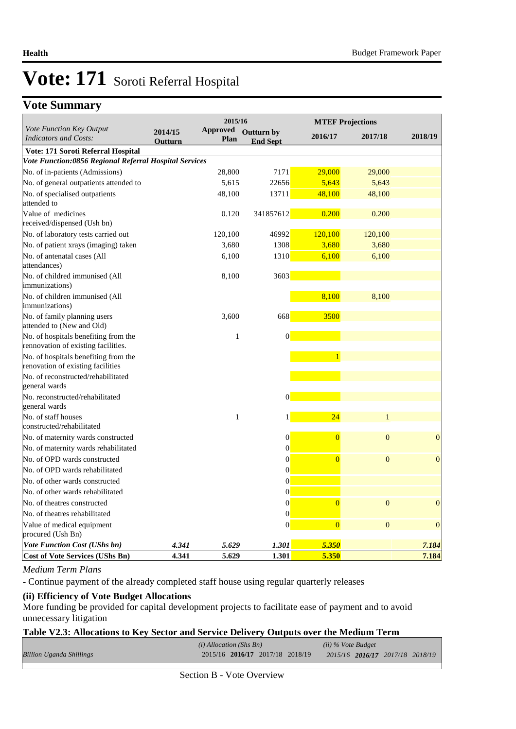## **Table Vote Summary**

|                                                                             |                | 2015/16          |                   |                | <b>MTEF Projections</b> |                |
|-----------------------------------------------------------------------------|----------------|------------------|-------------------|----------------|-------------------------|----------------|
| Vote Function Key Output<br><b>Indicators and Costs:</b>                    | 2014/15        | Approved<br>Plan | <b>Outturn by</b> | 2016/17        | 2017/18                 | 2018/19        |
| Vote: 171 Soroti Referral Hospital                                          | <b>Outturn</b> |                  | <b>End Sept</b>   |                |                         |                |
| Vote Function:0856 Regional Referral Hospital Services                      |                |                  |                   |                |                         |                |
| No. of in-patients (Admissions)                                             |                | 28,800           | 7171              | 29,000         | 29,000                  |                |
| No. of general outpatients attended to                                      |                | 5,615            | 22656             | 5,643          | 5,643                   |                |
| No. of specialised outpatients                                              |                | 48,100           | 13711             | 48,100         | 48,100                  |                |
| attended to                                                                 |                |                  |                   |                |                         |                |
| Value of medicines<br>received/dispensed (Ush bn)                           |                | 0.120            | 341857612         | 0.200          | 0.200                   |                |
| No. of laboratory tests carried out                                         |                | 120,100          | 46992             | 120,100        | 120,100                 |                |
| No. of patient xrays (imaging) taken                                        |                | 3,680            | 1308              | 3,680          | 3,680                   |                |
| No. of antenatal cases (All<br>attendances)                                 |                | 6,100            | 1310              | 6,100          | 6,100                   |                |
| No. of childred immunised (All<br>immunizations)                            |                | 8,100            | 3603              |                |                         |                |
| No. of children immunised (All                                              |                |                  |                   | 8,100          | 8,100                   |                |
| immunizations)                                                              |                |                  |                   |                |                         |                |
| No. of family planning users<br>attended to (New and Old)                   |                | 3,600            | 668               | 3500           |                         |                |
| No. of hospitals benefiting from the<br>rennovation of existing facilities. |                | $\mathbf{1}$     | $\theta$          |                |                         |                |
| No. of hospitals benefiting from the<br>renovation of existing facilities   |                |                  |                   |                |                         |                |
| No. of reconstructed/rehabilitated<br>general wards                         |                |                  |                   |                |                         |                |
| No. reconstructed/rehabilitated                                             |                |                  | $\vert 0 \vert$   |                |                         |                |
| general wards                                                               |                |                  |                   |                |                         |                |
| No. of staff houses<br>constructed/rehabilitated                            |                | $\mathbf{1}$     | 1                 | 24             | 1                       |                |
| No. of maternity wards constructed                                          |                |                  | 0                 | $\overline{0}$ | $\overline{0}$          | $\overline{0}$ |
| No. of maternity wards rehabilitated                                        |                |                  | $\boldsymbol{0}$  |                |                         |                |
| No. of OPD wards constructed                                                |                |                  | $\overline{0}$    | $\overline{0}$ | $\overline{0}$          | $\mathbf{0}$   |
| No. of OPD wards rehabilitated                                              |                |                  | $\overline{0}$    |                |                         |                |
| No. of other wards constructed                                              |                |                  | $\overline{0}$    |                |                         |                |
| No. of other wards rehabilitated                                            |                |                  | $\theta$          |                |                         |                |
| No. of theatres constructed                                                 |                |                  | $\boldsymbol{0}$  | $\overline{0}$ | $\overline{0}$          | $\mathbf{0}$   |
| No. of theatres rehabilitated                                               |                |                  | $\boldsymbol{0}$  |                |                         |                |
| Value of medical equipment<br>procured (Ush Bn)                             |                |                  | $\overline{0}$    | $\overline{0}$ | $\overline{0}$          | $\mathbf{0}$   |
| <b>Vote Function Cost (UShs bn)</b>                                         | 4.341          | 5.629            | 1.301             | 5.350          |                         | 7.184          |
| <b>Cost of Vote Services (UShs Bn)</b>                                      | 4.341          | 5.629            | 1.301             | 5.350          |                         | 7.184          |

#### *Medium Term Plans*

- Continue payment of the already completed staff house using regular quarterly releases

### **(ii) Efficiency of Vote Budget Allocations**

More funding be provided for capital development projects to facilitate ease of payment and to avoid unnecessary litigation

#### **Table V2.3: Allocations to Key Sector and Service Delivery Outputs over the Medium Term**

|                                 | $(i)$ Allocation (Shs Bn)       | $(ii)$ % Vote Budget            |  |  |
|---------------------------------|---------------------------------|---------------------------------|--|--|
| <b>Billion Uganda Shillings</b> | 2015/16 2016/17 2017/18 2018/19 | 2015/16 2016/17 2017/18 2018/19 |  |  |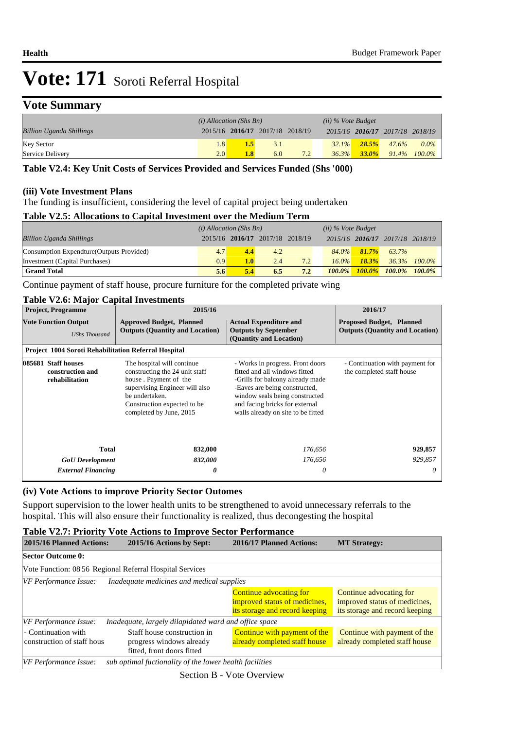## **Vote Summary**

|                                 | $(i)$ Allocation (Shs Bn) |                                 |               | $(ii)$ % Vote Budget |          |          |                                 |                    |
|---------------------------------|---------------------------|---------------------------------|---------------|----------------------|----------|----------|---------------------------------|--------------------|
| <b>Billion Uganda Shillings</b> |                           | 2015/16 2016/17 2017/18 2018/19 |               |                      |          |          | 2015/16 2016/17 2017/18 2018/19 |                    |
| <b>Key Sector</b>               | 1.8                       | 1.5                             | 3.1           |                      | $32.1\%$ | 28.5%    | 47.6%                           | $0.0\%$            |
| Service Delivery                | 2.0                       | 1.8                             | $6.0^{\circ}$ | 7.2                  | $36.3\%$ | $33.0\%$ |                                 | $91.4\%$ $100.0\%$ |

#### **Table V2.4: Key Unit Costs of Services Provided and Services Funded (Shs '000)**

#### **(iii) Vote Investment Plans**

The funding is insufficient, considering the level of capital project being undertaken

#### **Table V2.5: Allocations to Capital Investment over the Medium Term**

|                                           | $(i)$ Allocation (Shs Bn) |                                 |     | $(ii)$ % Vote Budget |           |          |                                 |                    |
|-------------------------------------------|---------------------------|---------------------------------|-----|----------------------|-----------|----------|---------------------------------|--------------------|
| <b>Billion Uganda Shillings</b>           |                           | 2015/16 2016/17 2017/18 2018/19 |     |                      |           |          | 2015/16 2016/17 2017/18 2018/19 |                    |
| Consumption Expendture (Outputs Provided) | 4.7                       | 4.4                             | 4.2 |                      | $84.0\%$  | 81.7%    | 63.7%                           |                    |
| Investment (Capital Purchases)            | 0.9                       | 1.0                             | 2.4 | 7.2                  | $16.0\%$  | $18.3\%$ |                                 | $36.3\%$ $100.0\%$ |
| <b>Grand Total</b>                        | 5.6                       | 5.4                             | 6.5 | 7.2                  | $100.0\%$ |          | $100.0\%$ $100.0\%$             | $100.0\%$          |

Continue payment of staff house, procure furniture for the completed private wing

#### **Table V2.6: Major Capital Investments**

| <b>Project, Programme</b>                                   | 2015/16                                                                                                                                                                                             | 2016/17                                                                                                                                                                                                                                          |                                                                           |
|-------------------------------------------------------------|-----------------------------------------------------------------------------------------------------------------------------------------------------------------------------------------------------|--------------------------------------------------------------------------------------------------------------------------------------------------------------------------------------------------------------------------------------------------|---------------------------------------------------------------------------|
| <b>Vote Function Output</b><br><b>UShs Thousand</b>         | <b>Approved Budget, Planned</b><br><b>Outputs (Quantity and Location)</b>                                                                                                                           | <b>Actual Expenditure and</b><br><b>Outputs by September</b><br>(Quantity and Location)                                                                                                                                                          | <b>Proposed Budget, Planned</b><br><b>Outputs (Quantity and Location)</b> |
| <b>Project 1004 Soroti Rehabilitation Referral Hospital</b> |                                                                                                                                                                                                     |                                                                                                                                                                                                                                                  |                                                                           |
| 085681 Staff houses<br>construction and<br>rehabilitation   | The hospital will continue<br>constructing the 24 unit staff<br>house. Payment of the<br>supervising Engineer will also<br>be undertaken.<br>Construction expected to be<br>completed by June, 2015 | - Works in progress. Front doors<br>fitted and all windows fitted<br>-Grills for balcony already made<br>-Eaves are being constructed,<br>window seals being constructed<br>and facing bricks for external<br>walls already on site to be fitted | - Continuation with payment for<br>the completed staff house              |
| <b>Total</b>                                                | 832,000                                                                                                                                                                                             | 176,656                                                                                                                                                                                                                                          | 929,857                                                                   |
| <b>GoU</b> Development                                      | 832,000                                                                                                                                                                                             | 176,656                                                                                                                                                                                                                                          | 929,857                                                                   |
| <b>External Financing</b>                                   | 0                                                                                                                                                                                                   | 0                                                                                                                                                                                                                                                | $\theta$                                                                  |

#### **(iv) Vote Actions to improve Priority Sector Outomes**

Support supervision to the lower health units to be strengthened to avoid unnecessary referrals to the hospital. This will also ensure their functionality is realized, thus decongesting the hospital

#### **Table V2.7: Priority Vote Actions to Improve Sector Performance**

| 2015/16 Planned Actions:                                 | 2015/16 Actions by Sept:                                                              | 2016/17 Planned Actions:                                                                   | <b>MT Strategy:</b>                                                                        |
|----------------------------------------------------------|---------------------------------------------------------------------------------------|--------------------------------------------------------------------------------------------|--------------------------------------------------------------------------------------------|
| <b>Sector Outcome 0:</b>                                 |                                                                                       |                                                                                            |                                                                                            |
| Vote Function: 08 56 Regional Referral Hospital Services |                                                                                       |                                                                                            |                                                                                            |
| VF Performance Issue:                                    | Inadequate medicines and medical supplies                                             |                                                                                            |                                                                                            |
|                                                          |                                                                                       | Continue advocating for<br>improved status of medicines,<br>its storage and record keeping | Continue advocating for<br>improved status of medicines,<br>its storage and record keeping |
| VF Performance Issue:                                    | Inadequate, largely dilapidated ward and office space                                 |                                                                                            |                                                                                            |
| - Continuation with<br>construction of staff hous        | Staff house construction in<br>progress windows already<br>fitted, front doors fitted | Continue with payment of the<br>already completed staff house                              | Continue with payment of the<br>already completed staff house                              |
| VF Performance Issue:                                    | sub optimal fuctionality of the lower health facilities                               |                                                                                            |                                                                                            |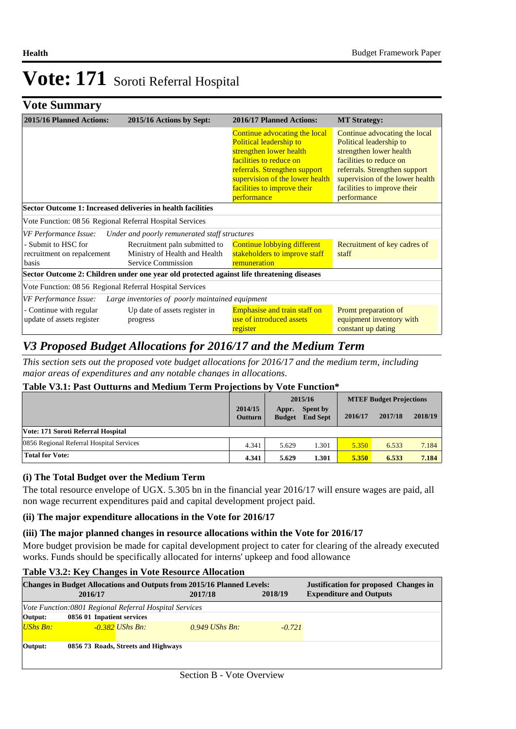**Vote Summary**

| 2015/16 Planned Actions:                                    | 2015/16 Actions by Sept:                                                                  | 2016/17 Planned Actions:                                                                                                                                                                                                         | <b>MT Strategy:</b>                                                                                                                                                                                                              |
|-------------------------------------------------------------|-------------------------------------------------------------------------------------------|----------------------------------------------------------------------------------------------------------------------------------------------------------------------------------------------------------------------------------|----------------------------------------------------------------------------------------------------------------------------------------------------------------------------------------------------------------------------------|
|                                                             |                                                                                           | Continue advocating the local<br>Political leadership to<br>strengthen lower health<br>facilities to reduce on<br>referrals. Strengthen support<br>supervision of the lower health<br>facilities to improve their<br>performance | Continue advocating the local<br>Political leadership to<br>strengthen lower health<br>facilities to reduce on<br>referrals. Strengthen support<br>supervision of the lower health<br>facilities to improve their<br>performance |
| Sector Outcome 1: Increased deliveries in health facilities |                                                                                           |                                                                                                                                                                                                                                  |                                                                                                                                                                                                                                  |
| Vote Function: 08 56 Regional Referral Hospital Services    |                                                                                           |                                                                                                                                                                                                                                  |                                                                                                                                                                                                                                  |
| VF Performance Issue:                                       | Under and poorly remunerated staff structures                                             |                                                                                                                                                                                                                                  |                                                                                                                                                                                                                                  |
| - Submit to HSC for<br>recruitment on repalcement<br>basis  | Recruitment paln submitted to<br>Ministry of Health and Health<br>Service Commission      | <b>Continue lobbying different</b><br>stakeholders to improve staff<br>remuneration                                                                                                                                              | Recruitment of key cadres of<br>staff                                                                                                                                                                                            |
|                                                             | Sector Outcome 2: Children under one year old protected against life threatening diseases |                                                                                                                                                                                                                                  |                                                                                                                                                                                                                                  |
| Vote Function: 08 56 Regional Referral Hospital Services    |                                                                                           |                                                                                                                                                                                                                                  |                                                                                                                                                                                                                                  |
| VF Performance Issue:                                       | Large inventories of poorly maintained equipment                                          |                                                                                                                                                                                                                                  |                                                                                                                                                                                                                                  |
| - Continue with regular<br>update of assets register        | Up date of assets register in<br>progress                                                 | <b>Emphasise and train staff on</b><br>use of introduced assets<br>register                                                                                                                                                      | Promt preparation of<br>equipment inventory with<br>constant up dating                                                                                                                                                           |

## *V3 Proposed Budget Allocations for 2016/17 and the Medium Term*

*This section sets out the proposed vote budget allocations for 2016/17 and the medium term, including major areas of expenditures and any notable changes in allocations.* 

### **Table V3.1: Past Outturns and Medium Term Projections by Vote Function\***

| Table voili Tabl Outturns and inculant Term I rejections by voic I anchon |                           |                        |                             |                                |         |         |  |
|---------------------------------------------------------------------------|---------------------------|------------------------|-----------------------------|--------------------------------|---------|---------|--|
|                                                                           | 2015/16                   |                        |                             | <b>MTEF Budget Projections</b> |         |         |  |
|                                                                           | 2014/15<br><b>Outturn</b> | Appr.<br><b>Budget</b> | Spent by<br><b>End Sept</b> | 2016/17                        | 2017/18 | 2018/19 |  |
| Vote: 171 Soroti Referral Hospital                                        |                           |                        |                             |                                |         |         |  |
| 0856 Regional Referral Hospital Services                                  | 4.341                     | 5.629                  | 1.301                       | 5.350                          | 6.533   | 7.184   |  |
| <b>Total for Vote:</b>                                                    | 4.341                     | 5.629                  | 1.301                       | 5.350                          | 6.533   | 7.184   |  |

### **(i) The Total Budget over the Medium Term**

The total resource envelope of UGX. 5.305 bn in the financial year 2016/17 will ensure wages are paid, all non wage recurrent expenditures paid and capital development project paid.

### **(ii) The major expenditure allocations in the Vote for 2016/17**

### **(iii) The major planned changes in resource allocations within the Vote for 2016/17**

More budget provision be made for capital development project to cater for clearing of the already executed works. Funds should be specifically allocated for interns' upkeep and food allowance

### **Table V3.2: Key Changes in Vote Resource Allocation**

|                                                        | 2016/17                    |                                     | <b>Changes in Budget Allocations and Outputs from 2015/16 Planned Levels:</b><br>2017/18 | 2018/19  | <b>Justification for proposed Changes in</b><br><b>Expenditure and Outputs</b> |  |  |
|--------------------------------------------------------|----------------------------|-------------------------------------|------------------------------------------------------------------------------------------|----------|--------------------------------------------------------------------------------|--|--|
| Vote Function:0801 Regional Referral Hospital Services |                            |                                     |                                                                                          |          |                                                                                |  |  |
| Output:                                                | 0856 01 Inpatient services |                                     |                                                                                          |          |                                                                                |  |  |
| UShs Bn:                                               |                            | $-0.382$ UShs Bn:                   | $0.949$ UShs Bn.                                                                         | $-0.721$ |                                                                                |  |  |
| Output:                                                |                            | 0856 73 Roads, Streets and Highways |                                                                                          |          |                                                                                |  |  |
|                                                        |                            |                                     |                                                                                          |          |                                                                                |  |  |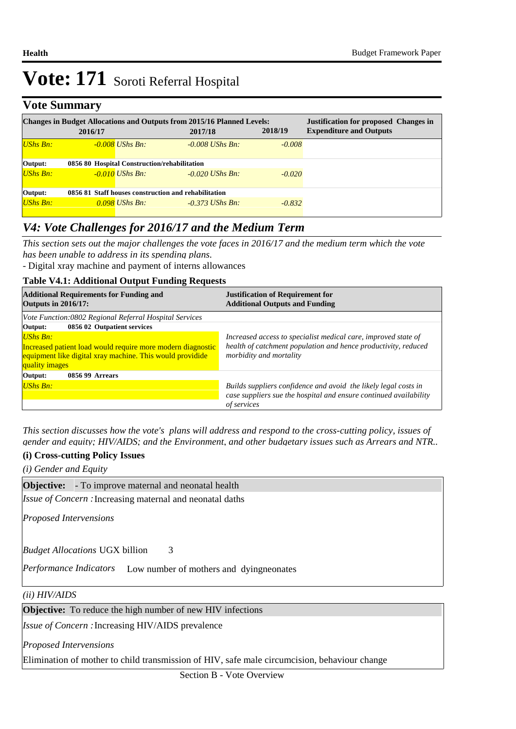## **Vote Summary**

|                                                                 | 2016/17 |                   | <b>Changes in Budget Allocations and Outputs from 2015/16 Planned Levels:</b><br>2017/18 | 2018/19  | <b>Justification for proposed Changes in</b><br><b>Expenditure and Outputs</b> |
|-----------------------------------------------------------------|---------|-------------------|------------------------------------------------------------------------------------------|----------|--------------------------------------------------------------------------------|
| <b>UShs Bn:</b>                                                 |         | $-0.008$ UShs Bn: | $-0.008$ UShs Bn.                                                                        | $-0.008$ |                                                                                |
| Output:<br>0856 80 Hospital Construction/rehabilitation         |         |                   |                                                                                          |          |                                                                                |
| <b>UShs Bn:</b>                                                 |         | $-0.010$ UShs Bn: | $-0.020$ UShs Bn.                                                                        | $-0.020$ |                                                                                |
| 0856 81 Staff houses construction and rehabilitation<br>Output: |         |                   |                                                                                          |          |                                                                                |
| $UShs Bn:$                                                      |         | $0.098$ UShs Bn:  | $-0.373$ UShs Bn.                                                                        | $-0.832$ |                                                                                |

## *V4: Vote Challenges for 2016/17 and the Medium Term*

*This section sets out the major challenges the vote faces in 2016/17 and the medium term which the vote has been unable to address in its spending plans.*

- Digital xray machine and payment of interns allowances

#### **Table V4.1: Additional Output Funding Requests**

| <b>Additional Requirements for Funding and</b><br><b>Outputs in 2016/17:</b>                                                                                  | <b>Justification of Requirement for</b><br><b>Additional Outputs and Funding</b>                                                                            |  |  |  |
|---------------------------------------------------------------------------------------------------------------------------------------------------------------|-------------------------------------------------------------------------------------------------------------------------------------------------------------|--|--|--|
| Vote Function:0802 Regional Referral Hospital Services                                                                                                        |                                                                                                                                                             |  |  |  |
| 0856 02 Outpatient services<br>Output:                                                                                                                        |                                                                                                                                                             |  |  |  |
| <b>UShs Bn:</b><br>Increased patient load would require more modern diagnostic<br>equipment like digital xray machine. This would providide<br>quality images | Increased access to specialist medical care, improved state of<br>health of catchment population and hence productivity, reduced<br>morbidity and mortality |  |  |  |
| Output:<br><b>0856 99 Arrears</b>                                                                                                                             |                                                                                                                                                             |  |  |  |
| <b>UShs Bn:</b>                                                                                                                                               | Builds suppliers confidence and avoid the likely legal costs in<br>case suppliers sue the hospital and ensure continued availability<br>of services         |  |  |  |

*This section discusses how the vote's plans will address and respond to the cross-cutting policy, issues of gender and equity; HIV/AIDS; and the Environment, and other budgetary issues such as Arrears and NTR..* 

#### **(i) Cross-cutting Policy Issues**

*(i) Gender and Equity*

**Objective:** - To improve maternal and neonatal health Issue of Concern : Increasing maternal and neonatal daths

*Proposed Intervensions* 

3 *Budget Allocations*  UGX billion

Performance Indicators Low number of mothers and dyingneonates

*(ii) HIV/AIDS*

**Objective:** To reduce the high number of new HIV infections

Issue of Concern : Increasing HIV/AIDS prevalence

*Proposed Intervensions* 

Elimination of mother to child transmission of HIV, safe male circumcision, behaviour change